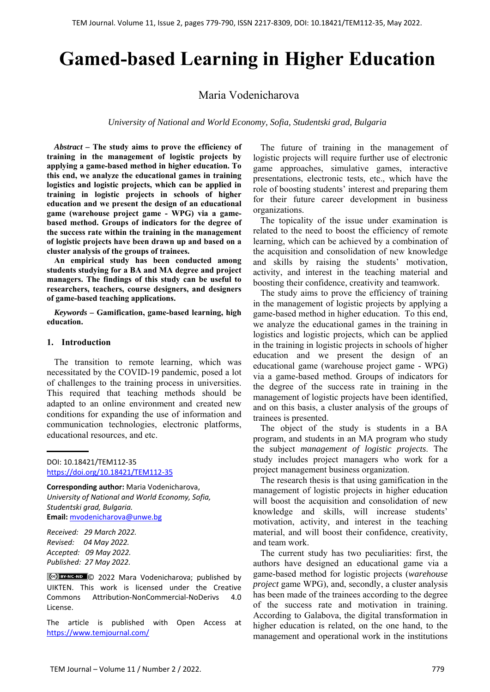# **Gamed-based Learning in Higher Education**

Maria Vodenicharova

*University of National and World Economy, Sofia, Studentski grad, Bulgaria* 

*Abstract –* **The study aims to prove the efficiency of training in the management of logistic projects by applying a game-based method in higher education. To this end, we analyze the educational games in training logistics and logistic projects, which can be applied in training in logistic projects in schools of higher education and we present the design of an educational game (warehouse project game - WPG) via a gamebased method. Groups of indicators for the degree of the success rate within the training in the management of logistic projects have been drawn up and based on a cluster analysis of the groups of trainees.** 

**An empirical study has been conducted among students studying for a BA and MA degree and project managers. The findings of this study can be useful to researchers, teachers, course designers, and designers of game-based teaching applications.** 

*Keywords –* **Gamification, game-based learning, high education.** 

#### **1. Introduction**

The transition to remote learning, which was necessitated by the COVID-19 pandemic, posed a lot of challenges to the training process in universities. This required that teaching methods should be adapted to an online environment and created new conditions for expanding the use of information and communication technologies, electronic platforms, educational resources, and etc.

DOI: 10.18421/TEM112-35 [https://doi.org/10.18421/TEM112](https://doi.org/10.18421/TEM112-35)-35

**Corresponding author:** Maria Vodenicharova, *University of National and World Economy, Sofia, Studentski grad, Bulgaria.*  **Email:** mvodenicharova@unwe.bg

*Received: 29 March 2022. Revised: 04 May 2022. Accepted: 09 May 2022. Published: 27 May 2022.* 

Cce) BY-NC-ND © 2022 Mara Vodenicharova; published by UIKTEN. This work is licensed under the Creative Commons Attribution‐NonCommercial‐NoDerivs 4.0 License.

The article is published with Open Access at https://www.temjournal.com/

The future of training in the management of logistic projects will require further use of electronic game approaches, simulative games, interactive presentations, electronic tests, etc., which have the role of boosting students' interest and preparing them for their future career development in business organizations.

The topicality of the issue under examination is related to the need to boost the efficiency of remote learning, which can be achieved by a combination of the acquisition and consolidation of new knowledge and skills by raising the students' motivation, activity, and interest in the teaching material and boosting their confidence, creativity and teamwork.

The study aims to prove the efficiency of training in the management of logistic projects by applying a game-based method in higher education. To this end, we analyze the educational games in the training in logistics and logistic projects, which can be applied in the training in logistic projects in schools of higher education and we present the design of an educational game (warehouse project game - WPG) via a game-based method. Groups of indicators for the degree of the success rate in training in the management of logistic projects have been identified, and on this basis, a cluster analysis of the groups of trainees is presented.

The object of the study is students in a BA program, and students in an MA program who study the subject *management of logistic projects*. The study includes project managers who work for a project management business organization.

The research thesis is that using gamification in the management of logistic projects in higher education will boost the acquisition and consolidation of new knowledge and skills, will increase students' motivation, activity, and interest in the teaching material, and will boost their confidence, creativity, and team work.

The current study has two peculiarities: first, the authors have designed an educational game via a game-based method for logistic projects (*warehouse project* game WPG), and, secondly, a cluster analysis has been made of the trainees according to the degree of the success rate and motivation in training. According to Galabova, the digital transformation in higher education is related, on the one hand, to the management and operational work in the institutions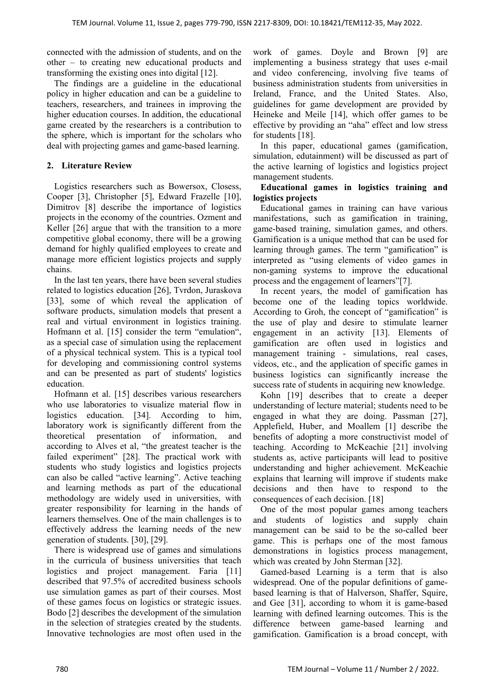connected with the admission of students, and on the other – to creating new educational products and transforming the existing ones into digital [12].

The findings are a guideline in the educational policy in higher education and can be a guideline to teachers, researchers, and trainees in improving the higher education courses. In addition, the educational game created by the researchers is a contribution to the sphere, which is important for the scholars who deal with projecting games and game-based learning.

# **2. Literature Review**

Logistics researchers such as Bowersox, Closess, Cooper [3], Christopher [5], Edward Frazelle [10], Dimitrov [8] describe the importance of logistics projects in the economy of the countries. Ozment and Keller [26] argue that with the transition to a more competitive global economy, there will be a growing demand for highly qualified employees to create and manage more efficient logistics projects and supply chains.

In the last ten years, there have been several studies related to logistics education [26], Tvrdon, Juraskova [33], some of which reveal the application of software products, simulation models that present a real and virtual environment in logistics training. Hofmann et al. [15] consider the term "emulation", as a special case of simulation using the replacement of a physical technical system. This is a typical tool for developing and commissioning control systems and can be presented as part of students' logistics education.

Hofmann et al. [15] describes various researchers who use laboratories to visualize material flow in logistics education. [34]. According to him, laboratory work is significantly different from the theoretical presentation of information, and according to Alves et al, "the greatest teacher is the failed experiment" [28]. The practical work with students who study logistics and logistics projects can also be called "active learning". Active teaching and learning methods as part of the educational methodology are widely used in universities, with greater responsibility for learning in the hands of learners themselves. One of the main challenges is to effectively address the learning needs of the new generation of students. [30], [29].

There is widespread use of games and simulations in the curricula of business universities that teach logistics and project management. Faria [11] described that 97.5% of accredited business schools use simulation games as part of their courses. Most of these games focus on logistics or strategic issues. Bodo [2] describes the development of the simulation in the selection of strategies created by the students. Innovative technologies are most often used in the work of games. Doyle and Brown [9] are implementing a business strategy that uses e-mail and video conferencing, involving five teams of business administration students from universities in Ireland, France, and the United States. Also, guidelines for game development are provided by Heineke and Meile [14], which offer games to be effective by providing an "aha" effect and low stress for students [18].

In this paper, educational games (gamification, simulation, edutainment) will be discussed as part of the active learning of logistics and logistics project management students.

### **Educational games in logistics training and logistics projects**

Educational games in training can have various manifestations, such as gamification in training, game-based training, simulation games, and others. Gamification is a unique method that can be used for learning through games. The term "gamification" is interpreted as "using elements of video games in non-gaming systems to improve the educational process and the engagement of learners"[7].

In recent years, the model of gamification has become one of the leading topics worldwide. According to Groh, the concept of "gamification" is the use of play and desire to stimulate learner engagement in an activity [13]. Elements of gamification are often used in logistics and management training - simulations, real cases, videos, etc., and the application of specific games in business logistics can significantly increase the success rate of students in acquiring new knowledge.

Kohn [19] describes that to create a deeper understanding of lecture material; students need to be engaged in what they are doing. Passman [27], Applefield, Huber, and Moallem [1] describe the benefits of adopting a more constructivist model of teaching. According to McKeachie [21] involving students as, active participants will lead to positive understanding and higher achievement. McKeachie explains that learning will improve if students make decisions and then have to respond to the consequences of each decision. [18]

One of the most popular games among teachers and students of logistics and supply chain management can be said to be the so-called beer game. This is perhaps one of the most famous demonstrations in logistics process management, which was created by John Sterman [32].

Gamed-based Learning is a term that is also widespread. One of the popular definitions of gamebased learning is that of Halverson, Shaffer, Squire, and Gee [31], according to whom it is game-based learning with defined learning outcomes. This is the difference between game-based learning and gamification. Gamification is a broad concept, with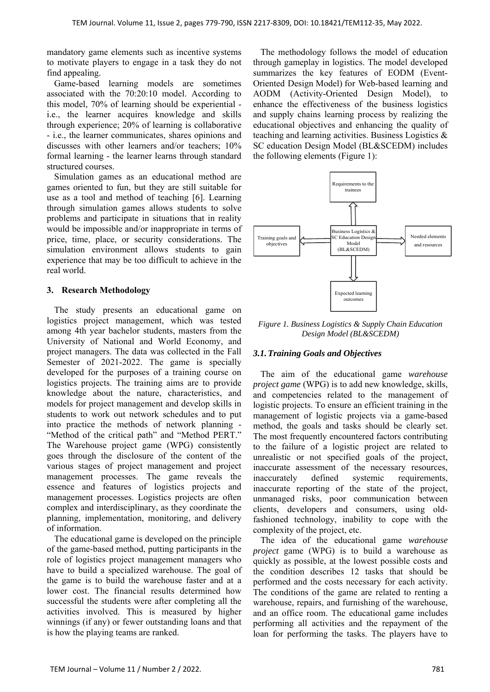mandatory game elements such as incentive systems to motivate players to engage in a task they do not find appealing.

Game-based learning models are sometimes associated with the 70:20:10 model. According to this model, 70% of learning should be experiential i.e., the learner acquires knowledge and skills through experience; 20% of learning is collaborative - i.e., the learner communicates, shares opinions and discusses with other learners and/or teachers; 10% formal learning - the learner learns through standard structured courses.

Simulation games as an educational method are games oriented to fun, but they are still suitable for use as a tool and method of teaching [6]. Learning through simulation games allows students to solve problems and participate in situations that in reality would be impossible and/or inappropriate in terms of price, time, place, or security considerations. The simulation environment allows students to gain experience that may be too difficult to achieve in the real world.

### **3. Research Methodology**

The study presents an educational game on logistics project management, which was tested among 4th year bachelor students, masters from the University of National and World Economy, and project managers. The data was collected in the Fall Semester of 2021-2022. The game is specially developed for the purposes of a training course on logistics projects. The training aims are to provide knowledge about the nature, characteristics, and models for project management and develop skills in students to work out network schedules and to put into practice the methods of network planning - "Method of the critical path" and "Method PERT." The Warehouse project game (WPG) consistently goes through the disclosure of the content of the various stages of project management and project management processes. The game reveals the essence and features of logistics projects and management processes. Logistics projects are often complex and interdisciplinary, as they coordinate the planning, implementation, monitoring, and delivery of information.

The educational game is developed on the principle of the game-based method, putting participants in the role of logistics project management managers who have to build a specialized warehouse. The goal of the game is to build the warehouse faster and at a lower cost. The financial results determined how successful the students were after completing all the activities involved. This is measured by higher winnings (if any) or fewer outstanding loans and that is how the playing teams are ranked.

The methodology follows the model of education through gameplay in logistics. The model developed summarizes the key features of EODM (Event-Оriented Design Model) for Web-based learning and AODM (Activity-Оriented Design Model), to enhance the effectiveness of the business logistics and supply chains learning process by realizing the educational objectives and enhancing the quality of teaching and learning activities. Business Logistics & SC education Design Model (BL&SCEDM) includes the following elements (Figure 1):



*Figure 1. Business Logistics & Supply Chain Education Design Model (BL&SCEDM)* 

# *3.1.Training Goals and Objectives*

The aim of the educational game *warehouse project game* (WPG) is to add new knowledge, skills, and competencies related to the management of logistic projects. To ensure an efficient training in the management of logistic projects via a game-based method, the goals and tasks should be clearly set. The most frequently encountered factors contributing to the failure of a logistic project are related to unrealistic or not specified goals of the project, inaccurate assessment of the necessary resources, inaccurately defined systemic requirements, inaccurate reporting of the state of the project, unmanaged risks, poor communication between clients, developers and consumers, using oldfashioned technology, inability to cope with the complexity of the project, etc.

The idea of the educational game *warehouse project* game (WPG) is to build a warehouse as quickly as possible, at the lowest possible costs and the condition describes 12 tasks that should be performed and the costs necessary for each activity. The conditions of the game are related to renting a warehouse, repairs, and furnishing of the warehouse, and an office room. The educational game includes performing all activities and the repayment of the loan for performing the tasks. The players have to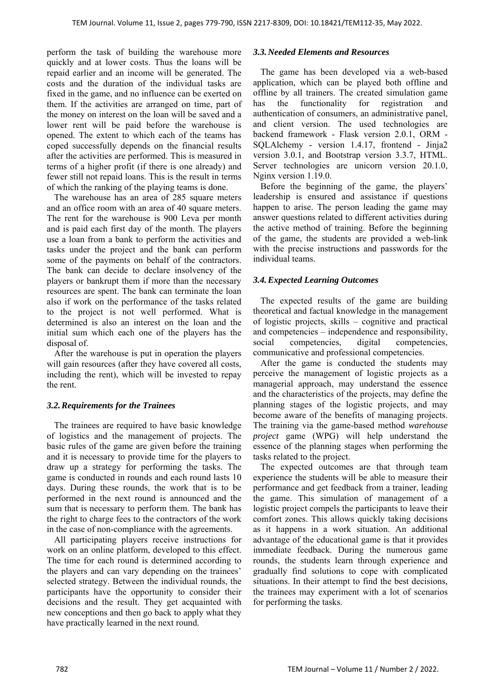perform the task of building the warehouse more quickly and at lower costs. Thus the loans will be repaid earlier and an income will be generated. The costs and the duration of the individual tasks are fixed in the game, and no influence can be exerted on them. If the activities are arranged on time, part of the money on interest on the loan will be saved and a lower rent will be paid before the warehouse is opened. The extent to which each of the teams has coped successfully depends on the financial results after the activities are performed. This is measured in terms of a higher profit (if there is one already) and fewer still not repaid loans. This is the result in terms of which the ranking of the playing teams is done.

The warehouse has an area of 285 square meters and an office room with an area of 40 square meters. The rent for the warehouse is 900 Leva per month and is paid each first day of the month. The players use a loan from a bank to perform the activities and tasks under the project and the bank can perform some of the payments on behalf of the contractors. The bank can decide to declare insolvency of the players or bankrupt them if more than the necessary resources are spent. The bank can terminate the loan also if work on the performance of the tasks related to the project is not well performed. What is determined is also an interest on the loan and the initial sum which each one of the players has the disposal of.

After the warehouse is put in operation the players will gain resources (after they have covered all costs, including the rent), which will be invested to repay the rent.

# *3.2.Requirements for the Trainees*

The trainees are required to have basic knowledge of logistics and the management of projects. The basic rules of the game are given before the training and it is necessary to provide time for the players to draw up a strategy for performing the tasks. The game is conducted in rounds and each round lasts 10 days. During these rounds, the work that is to be performed in the next round is announced and the sum that is necessary to perform them. The bank has the right to charge fees to the contractors of the work in the case of non-compliance with the agreements.

All participating players receive instructions for work on an online platform, developed to this effect. The time for each round is determined according to the players and can vary depending on the trainees' selected strategy. Between the individual rounds, the participants have the opportunity to consider their decisions and the result. They get acquainted with new conceptions and then go back to apply what they have practically learned in the next round.

# *3.3.Needed Elements and Resources*

The game has been developed via a web-based application, which can be played both offline and offline by all trainers. The created simulation game has the functionality for registration and authentication of consumers, an administrative panel, and client version. The used technologies are backend framework - Flask version 2.0.1, ORM - SQLAlchemy - version 1.4.17, frontend - Jinja2 version 3.0.1, and Bootstrap version 3.3.7, HTML. Server technologies are unicorn version 20.1.0, Nginx version 1.19.0.

Before the beginning of the game, the players' leadership is ensured and assistance if questions happen to arise. The person leading the game may answer questions related to different activities during the active method of training. Before the beginning of the game, the students are provided a web-link with the precise instructions and passwords for the individual teams.

# *3.4.Expected Learning Outcomes*

The expected results of the game are building theoretical and factual knowledge in the management of logistic projects, skills – cognitive and practical and competencies – independence and responsibility, social competencies, digital competencies, communicative and professional competencies.

After the game is conducted the students may perceive the management of logistic projects as a managerial approach, may understand the essence and the characteristics of the projects, may define the planning stages of the logistic projects, and may become aware of the benefits of managing projects. The training via the game-based method *warehouse project* game (WPG) will help understand the essence of the planning stages when performing the tasks related to the project.

The expected outcomes are that through team experience the students will be able to measure their performance and get feedback from a trainer, leading the game. This simulation of management of a logistic project compels the participants to leave their comfort zones. This allows quickly taking decisions as it happens in a work situation. An additional advantage of the educational game is that it provides immediate feedback. During the numerous game rounds, the students learn through experience and gradually find solutions to cope with complicated situations. In their attempt to find the best decisions, the trainees may experiment with a lot of scenarios for performing the tasks.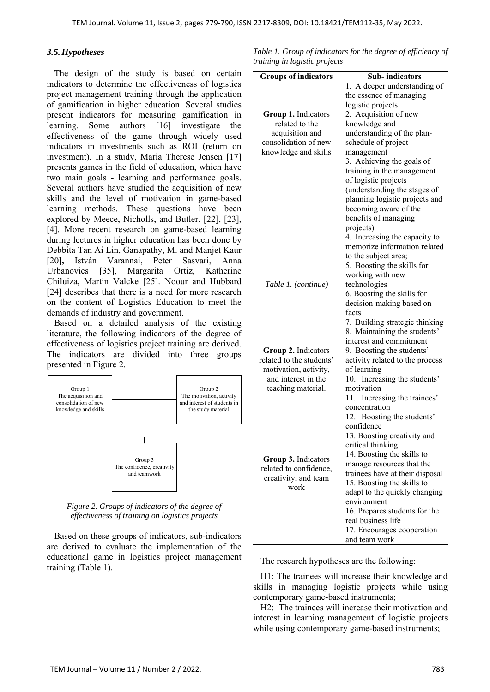#### *3.5.Hypotheses*

The design of the study is based on certain indicators to determine the effectiveness of logistics project management training through the application of gamification in higher education. Several studies present indicators for measuring gamification in learning. Some authors [16] investigate the effectiveness of the game through widely used indicators in investments such as ROI (return on investment). In a study, Maria Therese Jensen [17] presents games in the field of education, which have two main goals - learning and performance goals. Several authors have studied the acquisition of new skills and the level of motivation in game-based learning methods. These questions have been explored by Meece, Nicholls, and Butler. [22], [23], [4]. More recent research on game-based learning during lectures in higher education has been done by Debbita Tan Ai Lin, Ganapathy, M. and Manjet Kaur [20]**,** István Varannai, Peter Sasvari, Anna Urbanovics [35], Margarita Ortiz, Katherine Chiluiza, Martin Valcke [25]. Noour and Hubbard [24] describes that there is a need for more research on the content of Logistics Education to meet the demands of industry and government.

Based on a detailed analysis of the existing literature, the following indicators of the degree of effectiveness of logistics project training are derived. The indicators are divided into three groups presented in Figure 2.



*Figure 2. Groups of indicators of the degree of effectiveness of training on logistics projects* 

Based on these groups of indicators, sub-indicators are derived to evaluate the implementation of the educational game in logistics project management training (Table 1).

|  | Table 1. Group of indicators for the degree of efficiency of |  |  |  |
|--|--------------------------------------------------------------|--|--|--|
|  | training in logistic projects                                |  |  |  |

| <b>Groups of indicators</b> | <b>Sub-indicators</b>           |  |  |  |
|-----------------------------|---------------------------------|--|--|--|
|                             | 1. A deeper understanding of    |  |  |  |
|                             | the essence of managing         |  |  |  |
|                             | logistic projects               |  |  |  |
| Group 1. Indicators         | 2. Acquisition of new           |  |  |  |
| related to the              | knowledge and                   |  |  |  |
| acquisition and             | understanding of the plan-      |  |  |  |
| consolidation of new        | schedule of project             |  |  |  |
| knowledge and skills        | management                      |  |  |  |
|                             | 3. Achieving the goals of       |  |  |  |
|                             | training in the management      |  |  |  |
|                             | of logistic projects            |  |  |  |
|                             | (understanding the stages of    |  |  |  |
|                             | planning logistic projects and  |  |  |  |
|                             | becoming aware of the           |  |  |  |
|                             | benefits of managing            |  |  |  |
|                             | projects)                       |  |  |  |
|                             | 4. Increasing the capacity to   |  |  |  |
|                             | memorize information related    |  |  |  |
|                             | to the subject area;            |  |  |  |
|                             | 5. Boosting the skills for      |  |  |  |
|                             | working with new                |  |  |  |
| Table 1. (continue)         | technologies                    |  |  |  |
|                             | 6. Boosting the skills for      |  |  |  |
|                             | decision-making based on        |  |  |  |
|                             | facts                           |  |  |  |
|                             | 7. Building strategic thinking  |  |  |  |
|                             | 8. Maintaining the students'    |  |  |  |
|                             | interest and commitment         |  |  |  |
| <b>Group 2.</b> Indicators  | 9. Boosting the students'       |  |  |  |
| related to the students'    | activity related to the process |  |  |  |
| motivation, activity,       | of learning                     |  |  |  |
| and interest in the         | 10. Increasing the students'    |  |  |  |
| teaching material.          | motivation                      |  |  |  |
|                             | 11. Increasing the trainees'    |  |  |  |
|                             | concentration                   |  |  |  |
|                             | 12. Boosting the students'      |  |  |  |
|                             | confidence                      |  |  |  |
|                             | 13. Boosting creativity and     |  |  |  |
|                             | critical thinking               |  |  |  |
| Group 3. Indicators         | 14. Boosting the skills to      |  |  |  |
| related to confidence,      | manage resources that the       |  |  |  |
| creativity, and team        | trainees have at their disposal |  |  |  |
| work                        | 15. Boosting the skills to      |  |  |  |
|                             | adapt to the quickly changing   |  |  |  |
|                             | environment                     |  |  |  |
|                             | 16. Prepares students for the   |  |  |  |
|                             | real business life              |  |  |  |
|                             | 17. Encourages cooperation      |  |  |  |
|                             | and team work                   |  |  |  |

The research hypotheses are the following:

H1: The trainees will increase their knowledge and skills in managing logistic projects while using contemporary game-based instruments;

H2: The trainees will increase their motivation and interest in learning management of logistic projects while using contemporary game-based instruments;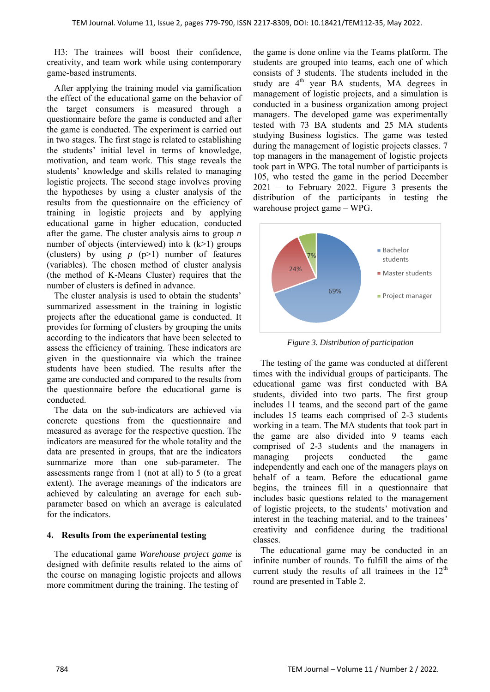H3: The trainees will boost their confidence, creativity, and team work while using contemporary game-based instruments.

After applying the training model via gamification the effect of the educational game on the behavior of the target consumers is measured through a questionnaire before the game is conducted and after the game is conducted. The experiment is carried out in two stages. The first stage is related to establishing the students' initial level in terms of knowledge, motivation, and team work. This stage reveals the students' knowledge and skills related to managing logistic projects. The second stage involves proving the hypotheses by using a cluster analysis of the results from the questionnaire on the efficiency of training in logistic projects and by applying educational game in higher education, conducted after the game. The cluster analysis aims to group *n* number of objects (interviewed) into  $k$  ( $k>1$ ) groups (clusters) by using  $p(p>1)$  number of features (variables). The chosen method of cluster analysis (the method of K-Means Cluster) requires that the number of clusters is defined in advance.

The cluster analysis is used to obtain the students' summarized assessment in the training in logistic projects after the educational game is conducted. It provides for forming of clusters by grouping the units according to the indicators that have been selected to assess the efficiency of training. These indicators are given in the questionnaire via which the trainee students have been studied. The results after the game are conducted and compared to the results from the questionnaire before the educational game is conducted.

The data on the sub-indicators are achieved via concrete questions from the questionnaire and measured as average for the respective question. The indicators are measured for the whole totality and the data are presented in groups, that are the indicators summarize more than one sub-parameter. The assessments range from 1 (not at all) to 5 (to a great extent). The average meanings of the indicators are achieved by calculating an average for each subparameter based on which an average is calculated for the indicators.

#### **4. Results from the experimental testing**

The educational game *Warehouse project game* is designed with definite results related to the aims of the course on managing logistic projects and allows more commitment during the training. The testing of

the game is done online via the Teams platform. The students are grouped into teams, each one of which consists of 3 students. The students included in the study are  $4<sup>th</sup>$  year BA students, MA degrees in management of logistic projects, and a simulation is conducted in a business organization among project managers. The developed game was experimentally tested with 73 BA students and 25 MA students studying Business logistics. The game was tested during the management of logistic projects classes. 7 top managers in the management of logistic projects took part in WPG. The total number of participants is 105, who tested the game in the period December 2021 – to February 2022. Figure 3 presents the distribution of the participants in testing the warehouse project game – WPG.



*Figure 3. Distribution of participation*

The testing of the game was conducted at different times with the individual groups of participants. The educational game was first conducted with BA students, divided into two parts. The first group includes 11 teams, and the second part of the game includes 15 teams each comprised of 2-3 students working in a team. The MA students that took part in the game are also divided into 9 teams each comprised of 2-3 students and the managers in managing projects conducted the game independently and each one of the managers plays on behalf of a team. Before the educational game begins, the trainees fill in a questionnaire that includes basic questions related to the management of logistic projects, to the students' motivation and interest in the teaching material, and to the trainees' creativity and confidence during the traditional classes.

The educational game may be conducted in an infinite number of rounds. To fulfill the aims of the current study the results of all trainees in the  $12<sup>th</sup>$ round are presented in Table 2.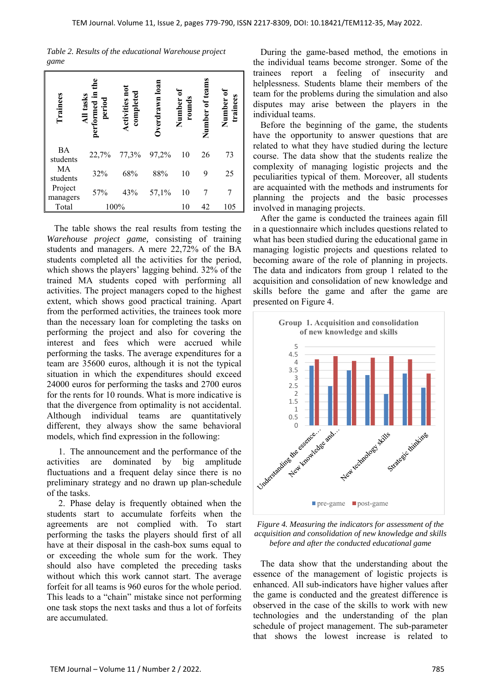*Table 2. Results of the educational Warehouse project game* 

| Trainees              | All tasks<br>performed in<br>period | Activities not<br>completed | Overdrawn loan | Number of<br>rounds | Number of teams | trainees<br>Number |
|-----------------------|-------------------------------------|-----------------------------|----------------|---------------------|-----------------|--------------------|
| <b>BA</b><br>students | 22,7%                               | 77,3%                       | 97,2%          | 10                  | 26              | 73                 |
| MA<br>students        | 32%                                 | 68%                         | 88%            | 10                  | 9               | 25                 |
| Project<br>managers   | 57%                                 | 43%                         | 57,1%          | 10                  |                 |                    |
| Total                 |                                     | 100%                        |                | 10                  | 42              | 105                |

The table shows the real results from testing the *Warehouse project game,* consisting of training students and managers. A mere 22,72% of the BA students completed all the activities for the period, which shows the players' lagging behind. 32% of the trained MA students coped with performing all activities. The project managers coped to the highest extent, which shows good practical training. Apart from the performed activities, the trainees took more than the necessary loan for completing the tasks on performing the project and also for covering the interest and fees which were accrued while performing the tasks. The average expenditures for a team are 35600 euros, although it is not the typical situation in which the expenditures should exceed 24000 euros for performing the tasks and 2700 euros for the rents for 10 rounds. What is more indicative is that the divergence from optimality is not accidental. Although individual teams are quantitatively different, they always show the same behavioral models, which find expression in the following:

1. The announcement and the performance of the activities are dominated by big amplitude fluctuations and a frequent delay since there is no preliminary strategy and no drawn up plan-schedule of the tasks.

2. Phase delay is frequently obtained when the students start to accumulate forfeits when the agreements are not complied with. To start performing the tasks the players should first of all have at their disposal in the cash-box sums equal to or exceeding the whole sum for the work. They should also have completed the preceding tasks without which this work cannot start. The average forfeit for all teams is 960 euros for the whole period. This leads to a "chain" mistake since not performing one task stops the next tasks and thus a lot of forfeits are accumulated.

During the game-based method, the emotions in the individual teams become stronger. Some of the trainees report a feeling of insecurity and helplessness. Students blame their members of the team for the problems during the simulation and also disputes may arise between the players in the individual teams.

Before the beginning of the game, the students have the opportunity to answer questions that are related to what they have studied during the lecture course. The data show that the students realize the complexity of managing logistic projects and the peculiarities typical of them. Moreover, all students are acquainted with the methods and instruments for planning the projects and the basic processes involved in managing projects.

After the game is conducted the trainees again fill in a questionnaire which includes questions related to what has been studied during the educational game in managing logistic projects and questions related to becoming aware of the role of planning in projects. The data and indicators from group 1 related to the acquisition and consolidation of new knowledge and skills before the game and after the game are presented on Figure 4.





The data show that the understanding about the essence of the management of logistic projects is enhanced. All sub-indicators have higher values after the game is conducted and the greatest difference is observed in the case of the skills to work with new technologies and the understanding of the plan schedule of project management. The sub-parameter that shows the lowest increase is related to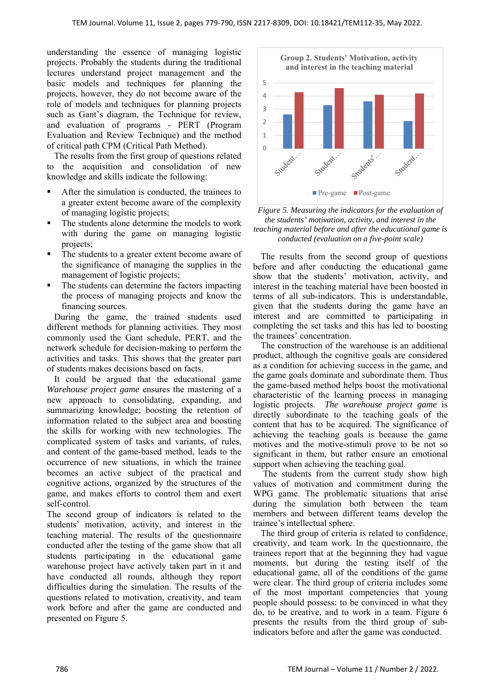understanding the essence of managing logistic projects. Probably the students during the traditional lectures understand project management and the basic models and techniques for planning the projects, however, they do not become aware of the role of models and techniques for planning projects such as Gant's diagram, the Technique for review, and evaluation of programs - PERT (Program Evaluation and Review Technique) and the method of critical path CPM (Critical Path Method).

The results from the first group of questions related to the acquisition and consolidation of new knowledge and skills indicate the following:

- After the simulation is conducted, the trainees to a greater extent become aware of the complexity of managing logistic projects;
- The students alone determine the models to work with during the game on managing logistic projects;
- The students to a greater extent become aware of the significance of managing the supplies in the management of logistic projects;
- The students can determine the factors impacting the process of managing projects and know the financing sources.

During the game, the trained students used different methods for planning activities. They most commonly used the Gant schedule, PERT, and the network schedule for decision-making to perform the activities and tasks. This shows that the greater part of students makes decisions based on facts.

It could be argued that the educational game *Warehouse project game* ensures the mastering of a new approach to consolidating, expanding, and summarizing knowledge; boosting the retention of information related to the subject area and boosting the skills for working with new technologies. The complicated system of tasks and variants, of rules, and content of the game-based method, leads to the occurrence of new situations, in which the trainee becomes an active subject of the practical and cognitive actions, organized by the structures of the game, and makes efforts to control them and exert self-control.

The second group of indicators is related to the students' motivation, activity, and interest in the teaching material. The results of the questionnaire conducted after the testing of the game show that all students participating in the educational game warehouse project have actively taken part in it and have conducted all rounds, although they report difficulties during the simulation. The results of the questions related to motivation, creativity, and team work before and after the game are conducted and presented on Figure 5.



*Figure 5. Measuring the indicators for the evaluation of the students' motivation, activity, and interest in the teaching material before and after the educational game is conducted (evaluation on a five-point scale)* 

The results from the second group of questions before and after conducting the educational game show that the students' motivation, activity, and interest in the teaching material have been boosted in terms of all sub-indicators. This is understandable, given that the students during the game have an interest and are committed to participating in completing the set tasks and this has led to boosting the trainees' concentration.

The construction of the warehouse is an additional product, although the cognitive goals are considered as a condition for achieving success in the game, and the game goals dominate and subordinate them. Thus the game-based method helps boost the motivational characteristic of the learning process in managing logistic projects. *The warehouse project game* is directly subordinate to the teaching goals of the content that has to be acquired. The significance of achieving the teaching goals is because the game motives and the motive-stimuli prove to be not so significant in them, but rather ensure an emotional support when achieving the teaching goal.

 The students from the current study show high values of motivation and commitment during the WPG game. The problematic situations that arise during the simulation both between the team members and between different teams develop the trainee's intellectual sphere.

The third group of criteria is related to confidence, creativity, and team work. In the questionnaire, the trainees report that at the beginning they had vague moments, but during the testing itself of the educational game, all of the conditions of the game were clear. The third group of criteria includes some of the most important competencies that young people should possess: to be convinced in what they do, to be creative, and to work in a team. Figure 6 presents the results from the third group of subindicators before and after the game was conducted.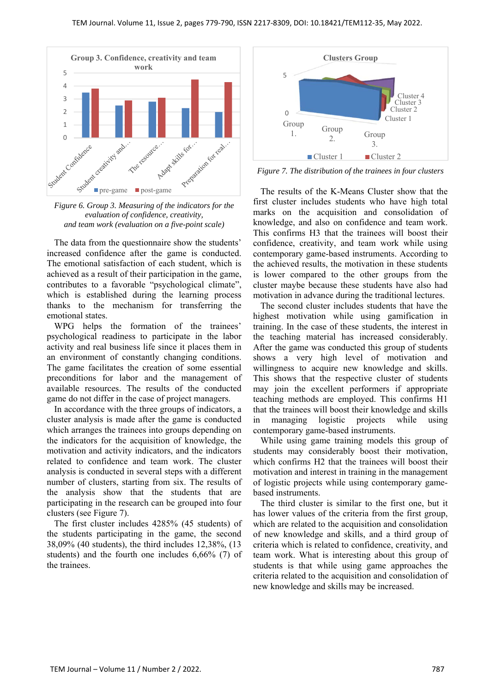

*Figure 6. Group 3. Measuring of the indicators for the evaluation of confidence, creativity, and team work (evaluation on a five-point scale)* 

The data from the questionnaire show the students' increased confidence after the game is conducted. The emotional satisfaction of each student, which is achieved as a result of their participation in the game, contributes to a favorable "psychological climate", which is established during the learning process thanks to the mechanism for transferring the emotional states.

WPG helps the formation of the trainees' psychological readiness to participate in the labor activity and real business life since it places them in an environment of constantly changing conditions. The game facilitates the creation of some essential preconditions for labor and the management of available resources. The results of the conducted game do not differ in the case of project managers.

In accordance with the three groups of indicators, a cluster analysis is made after the game is conducted which arranges the trainees into groups depending on the indicators for the acquisition of knowledge, the motivation and activity indicators, and the indicators related to confidence and team work. The cluster analysis is conducted in several steps with a different number of clusters, starting from six. The results of the analysis show that the students that are participating in the research can be grouped into four clusters (see Figure 7).

The first cluster includes 4285% (45 students) of the students participating in the game, the second 38,09% (40 students), the third includes 12,38%, (13 students) and the fourth one includes 6,66% (7) of the trainees.



*Figure 7. The distribution of the trainees in four clusters* 

The results of the K-Means Cluster show that the first cluster includes students who have high total marks on the acquisition and consolidation of knowledge, and also on confidence and team work. This confirms H3 that the trainees will boost their confidence, creativity, and team work while using contemporary game-based instruments. According to the achieved results, the motivation in these students is lower compared to the other groups from the cluster maybe because these students have also had motivation in advance during the traditional lectures.

The second cluster includes students that have the highest motivation while using gamification in training. In the case of these students, the interest in the teaching material has increased considerably. After the game was conducted this group of students shows a very high level of motivation and willingness to acquire new knowledge and skills. This shows that the respective cluster of students may join the excellent performers if appropriate teaching methods are employed. This confirms H1 that the trainees will boost their knowledge and skills in managing logistic projects while using contemporary game-based instruments.

While using game training models this group of students may considerably boost their motivation, which confirms H2 that the trainees will boost their motivation and interest in training in the management of logistic projects while using contemporary gamebased instruments.

The third cluster is similar to the first one, but it has lower values of the criteria from the first group, which are related to the acquisition and consolidation of new knowledge and skills, and a third group of criteria which is related to confidence, creativity, and team work. What is interesting about this group of students is that while using game approaches the criteria related to the acquisition and consolidation of new knowledge and skills may be increased.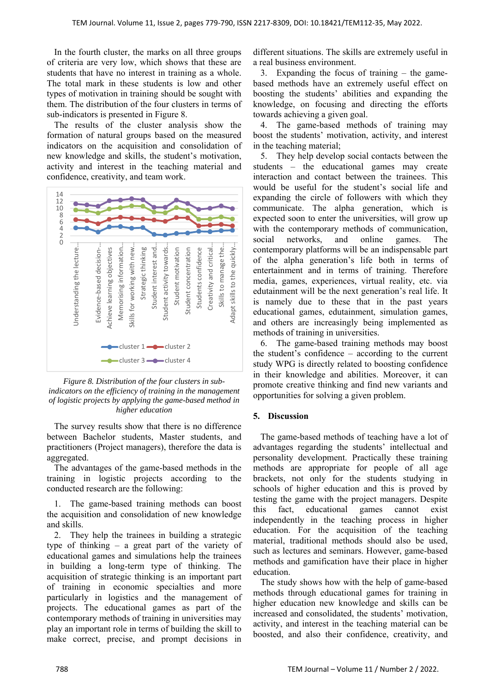In the fourth cluster, the marks on all three groups of criteria are very low, which shows that these are students that have no interest in training as a whole. The total mark in these students is low and other types of motivation in training should be sought with them. The distribution of the four clusters in terms of sub-indicators is presented in Figure 8.

The results of the cluster analysis show the formation of natural groups based on the measured indicators on the acquisition and consolidation of new knowledge and skills, the student's motivation, activity and interest in the teaching material and confidence, creativity, and team work.



*Figure 8. Distribution of the four clusters in subindicators on the efficiency of training in the management of logistic projects by applying the game-based method in higher education* 

The survey results show that there is no difference between Bachelor students, Master students, and practitioners (Project managers), therefore the data is aggregated.

The advantages of the game-based methods in the training in logistic projects according to the conducted research are the following:

1. The game-based training methods can boost the acquisition and consolidation of new knowledge and skills.

2. They help the trainees in building a strategic type of thinking – a great part of the variety of educational games and simulations help the trainees in building a long-term type of thinking. The acquisition of strategic thinking is an important part of training in economic specialties and more particularly in logistics and the management of projects. The educational games as part of the contemporary methods of training in universities may play an important role in terms of building the skill to make correct, precise, and prompt decisions in

different situations. The skills are extremely useful in a real business environment.

3. Expanding the focus of training – the gamebased methods have an extremely useful effect on boosting the students' abilities and expanding the knowledge, on focusing and directing the efforts towards achieving a given goal.

4. The game-based methods of training may boost the students' motivation, activity, and interest in the teaching material;

5. They help develop social contacts between the students – the educational games may create interaction and contact between the trainees. This would be useful for the student's social life and expanding the circle of followers with which they communicate. The alpha generation, which is expected soon to enter the universities, will grow up with the contemporary methods of communication, social networks, and online games. The contemporary platforms will be an indispensable part of the alpha generation's life both in terms of entertainment and in terms of training. Therefore media, games, experiences, virtual reality, etc. via edutainment will be the next generation's real life. It is namely due to these that in the past years educational games, edutainment, simulation games, and others are increasingly being implemented as methods of training in universities.

6. The game-based training methods may boost the student's confidence – according to the current study WPG is directly related to boosting confidence in their knowledge and abilities. Moreover, it can promote creative thinking and find new variants and opportunities for solving a given problem.

#### **5. Discussion**

The game-based methods of teaching have a lot of advantages regarding the students' intellectual and personality development. Practically these training methods are appropriate for people of all age brackets, not only for the students studying in schools of higher education and this is proved by testing the game with the project managers. Despite this fact, educational games cannot exist independently in the teaching process in higher education. For the acquisition of the teaching material, traditional methods should also be used, such as lectures and seminars. However, game-based methods and gamification have their place in higher education.

The study shows how with the help of game-based methods through educational games for training in higher education new knowledge and skills can be increased and consolidated, the students' motivation, activity, and interest in the teaching material can be boosted, and also their confidence, creativity, and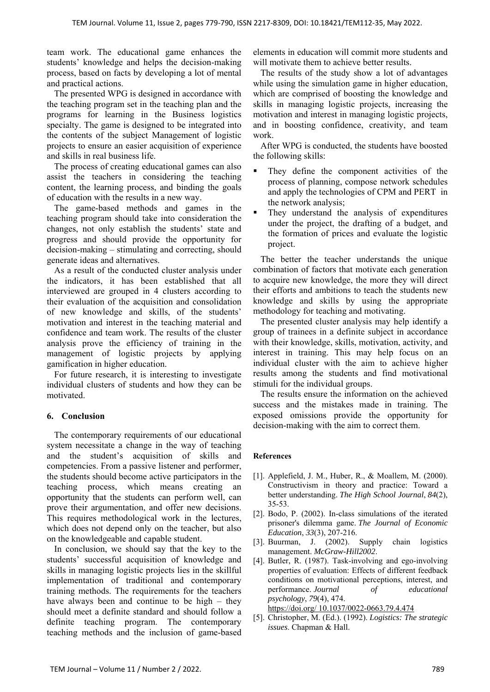team work. The educational game enhances the students' knowledge and helps the decision-making process, based on facts by developing a lot of mental and practical actions.

The presented WPG is designed in accordance with the teaching program set in the teaching plan and the programs for learning in the Business logistics specialty. The game is designed to be integrated into the contents of the subject Management of logistic projects to ensure an easier acquisition of experience and skills in real business life.

The process of creating educational games can also assist the teachers in considering the teaching content, the learning process, and binding the goals of education with the results in a new way.

The game-based methods and games in the teaching program should take into consideration the changes, not only establish the students' state and progress and should provide the opportunity for decision-making – stimulating and correcting, should generate ideas and alternatives.

As a result of the conducted cluster analysis under the indicators, it has been established that all interviewed are grouped in 4 clusters according to their evaluation of the acquisition and consolidation of new knowledge and skills, of the students' motivation and interest in the teaching material and confidence and team work. The results of the cluster analysis prove the efficiency of training in the management of logistic projects by applying gamification in higher education.

For future research, it is interesting to investigate individual clusters of students and how they can be motivated.

# **6. Conclusion**

The contemporary requirements of our educational system necessitate a change in the way of teaching and the student's acquisition of skills and competencies. From a passive listener and performer, the students should become active participators in the teaching process, which means creating an opportunity that the students can perform well, can prove their argumentation, and offer new decisions. This requires methodological work in the lectures, which does not depend only on the teacher, but also on the knowledgeable and capable student.

In conclusion, we should say that the key to the students' successful acquisition of knowledge and skills in managing logistic projects lies in the skillful implementation of traditional and contemporary training methods. The requirements for the teachers have always been and continue to be high – they should meet a definite standard and should follow a definite teaching program. The contemporary teaching methods and the inclusion of game-based elements in education will commit more students and will motivate them to achieve better results.

The results of the study show a lot of advantages while using the simulation game in higher education, which are comprised of boosting the knowledge and skills in managing logistic projects, increasing the motivation and interest in managing logistic projects, and in boosting confidence, creativity, and team work.

After WPG is conducted, the students have boosted the following skills:

- They define the component activities of the process of planning, compose network schedules and apply the technologies of CPM and PERT in the network analysis;
- They understand the analysis of expenditures under the project, the drafting of a budget, and the formation of prices and evaluate the logistic project.

The better the teacher understands the unique combination of factors that motivate each generation to acquire new knowledge, the more they will direct their efforts and ambitions to teach the students new knowledge and skills by using the appropriate methodology for teaching and motivating.

The presented cluster analysis may help identify a group of trainees in a definite subject in accordance with their knowledge, skills, motivation, activity, and interest in training. This may help focus on an individual cluster with the aim to achieve higher results among the students and find motivational stimuli for the individual groups.

The results ensure the information on the achieved success and the mistakes made in training. The exposed omissions provide the opportunity for decision-making with the aim to correct them.

#### **References**

- [1]. Applefield, J. M., Huber, R., & Moallem, M. (2000). Constructivism in theory and practice: Toward a better understanding. *The High School Journal*, *84*(2), 35-53.
- [2]. Bodo, P. (2002). In-class simulations of the iterated prisoner's dilemma game. *The Journal of Economic Education*, *33*(3), 207-216.
- [3]. Buurman, J. (2002). Supply chain logistics management. *McGraw-Hill2002*.
- [4]. Butler, R. (1987). Task-involving and ego-involving properties of evaluation: Effects of different feedback conditions on motivational perceptions, interest, and performance. *Journal of educational psychology*, *79*(4), 474. https://doi.org/ 10.1037/0022-0663.79.4.474
- [5]. Christopher, M. (Ed.). (1992). *Logistics: The strategic issues*. Chapman & Hall.